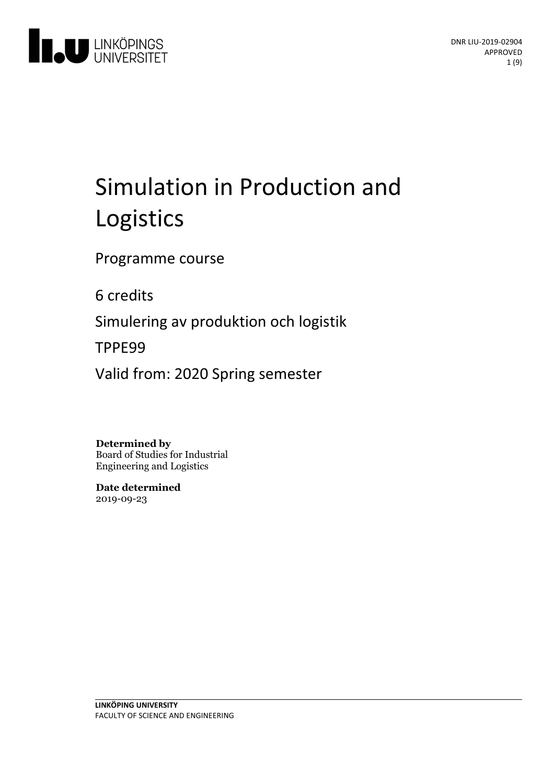

# Simulation in Production and Logistics

Programme course

6 credits

Simuleringav produktion och logistik

TPPE99

Valid from: 2020 Spring semester

**Determined by**

Board of Studies for Industrial Engineering and Logistics

**Date determined** 2019-09-23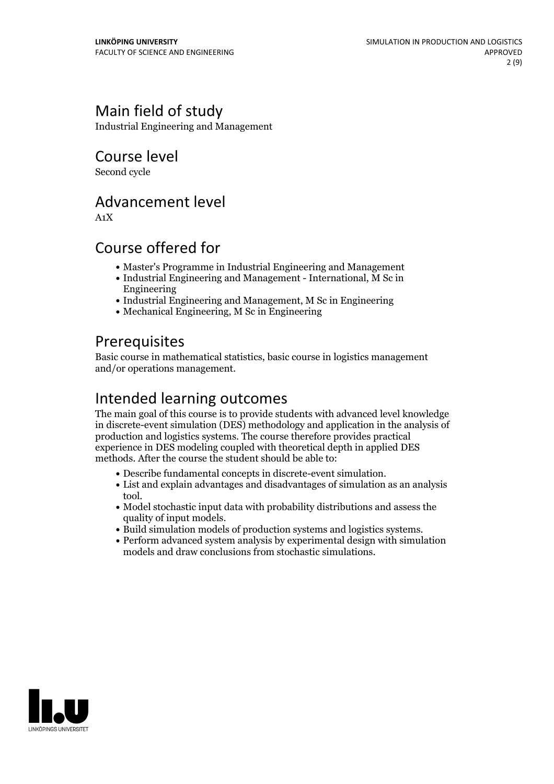# Main field of study

Industrial Engineering and Management

Course level

Second cycle

# Advancement level

A1X

# Course offered for

- Master's Programme in Industrial Engineering and Management
- Industrial Engineering and Management International, M Sc in Engineering
- Industrial Engineering and Management, M Sc in Engineering
- Mechanical Engineering, M Sc in Engineering

# **Prerequisites**

Basic course in mathematical statistics, basic course in logistics management and/or operations management.

# Intended learning outcomes

The main goal of this course is to provide students with advanced level knowledge in discrete-event simulation (DES) methodology and application in the analysis of production and logistics systems. The course therefore provides practical experience in DES modeling coupled with theoretical depth in applied DES methods. After the course the student should be able to:

- 
- Describe fundamental concepts in discrete-event simulation. List and explain advantages and disadvantages of simulation asan analysis tool.
- Model stochastic input data with probability distributions and assess the
- Build simulation models of production systems and logistics systems.<br>• Perform advanced system analysis by experimental design with simulation
- models and draw conclusions from stochastic simulations.

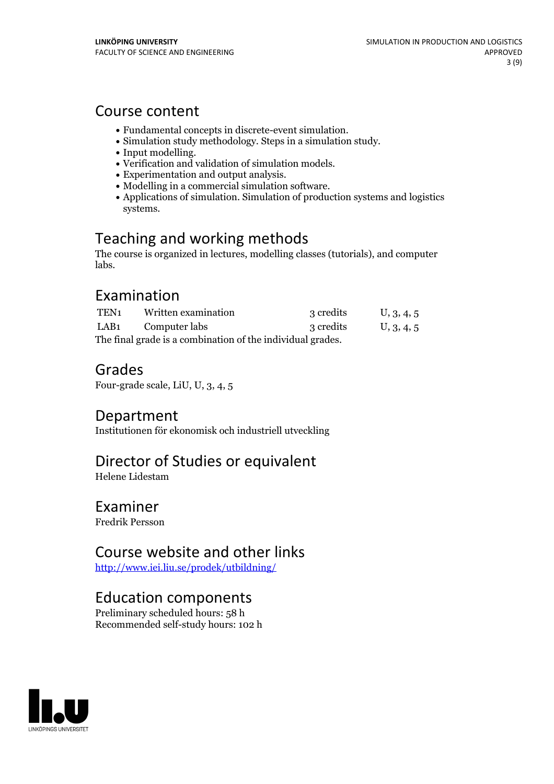### Course content

- 
- 
- 
- 
- 
- 
- Fundamental concepts in discrete-event simulation.<br>
Simulation study methodology. Steps in a simulation study.<br>
Input modelling.<br>
Verification and validation of simulation models.<br>
Experimentation and output anal systems.

# Teaching and working methods

The course is organized in lectures, modelling classes (tutorials), and computer labs.

### Examination

| TEN1                                                       | Written examination | 3 credits | U, 3, 4, 5 |
|------------------------------------------------------------|---------------------|-----------|------------|
| LAB1                                                       | Computer labs       | 3 credits | U, 3, 4, 5 |
| The final grade is a combination of the individual grades. |                     |           |            |

# Grades

Four-grade scale, LiU, U, 3, 4, 5

### Department

Institutionen för ekonomisk och industriell utveckling

# Director of Studies or equivalent

Helene Lidestam

### Examiner

Fredrik Persson

# Course website and other links

<http://www.iei.liu.se/prodek/utbildning/>

# Education components

Preliminary scheduled hours: 58 h Recommended self-study hours: 102 h

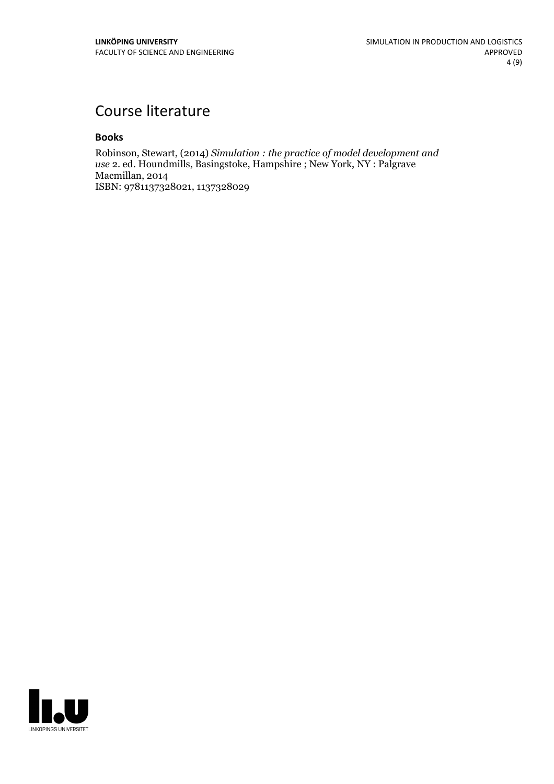# Course literature

### **Books**

Robinson, Stewart, (2014) *Simulation : the practice of model development and use* 2. ed. Houndmills, Basingstoke, Hampshire ; New York, NY : Palgrave Macmillan, 2014 ISBN: 9781137328021, 1137328029

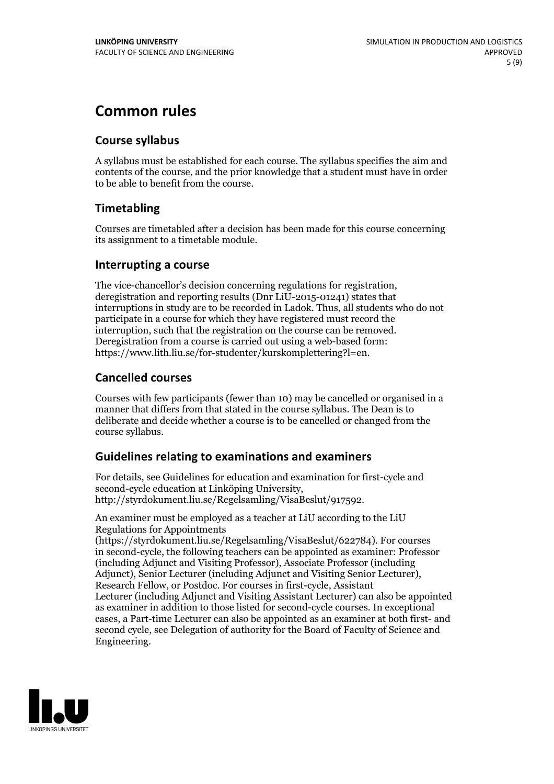# **Common rules**

### **Course syllabus**

A syllabus must be established for each course. The syllabus specifies the aim and contents of the course, and the prior knowledge that a student must have in order to be able to benefit from the course.

### **Timetabling**

Courses are timetabled after a decision has been made for this course concerning its assignment to a timetable module.

### **Interrupting a course**

The vice-chancellor's decision concerning regulations for registration, deregistration and reporting results (Dnr LiU-2015-01241) states that interruptions in study are to be recorded in Ladok. Thus, all students who do not participate in a course for which they have registered must record the interruption, such that the registration on the course can be removed. Deregistration from <sup>a</sup> course is carried outusing <sup>a</sup> web-based form: https://www.lith.liu.se/for-studenter/kurskomplettering?l=en.

### **Cancelled courses**

Courses with few participants (fewer than 10) may be cancelled or organised in a manner that differs from that stated in the course syllabus. The Dean is to deliberate and decide whether a course is to be cancelled or changed from the course syllabus.

### **Guidelines relatingto examinations and examiners**

For details, see Guidelines for education and examination for first-cycle and second-cycle education at Linköping University, http://styrdokument.liu.se/Regelsamling/VisaBeslut/917592.

An examiner must be employed as a teacher at LiU according to the LiU Regulations for Appointments

(https://styrdokument.liu.se/Regelsamling/VisaBeslut/622784). For courses in second-cycle, the following teachers can be appointed as examiner: Professor (including Adjunct and Visiting Professor), Associate Professor (including Adjunct), Senior Lecturer (including Adjunct and Visiting Senior Lecturer), Research Fellow, or Postdoc. For courses in first-cycle, Assistant Lecturer (including Adjunct and Visiting Assistant Lecturer) can also be appointed as examiner in addition to those listed for second-cycle courses. In exceptional cases, a Part-time Lecturer can also be appointed as an examiner at both first- and second cycle, see Delegation of authority for the Board of Faculty of Science and Engineering.

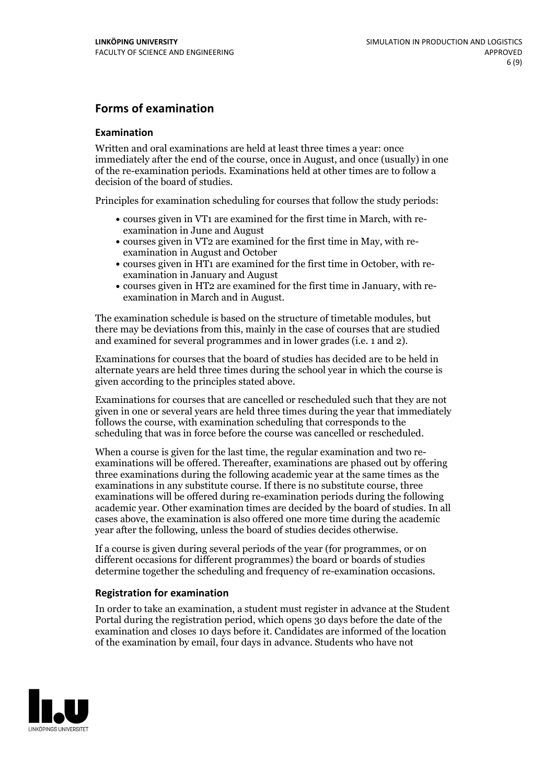### **Forms of examination**

#### **Examination**

Written and oral examinations are held at least three times a year: once immediately after the end of the course, once in August, and once (usually) in one of the re-examination periods. Examinations held at other times are to follow a decision of the board of studies.

Principles for examination scheduling for courses that follow the study periods:

- courses given in VT1 are examined for the first time in March, with re-examination in June and August
- courses given in VT2 are examined for the first time in May, with re-examination in August and October
- courses given in HT1 are examined for the first time in October, with re-examination in January and August
- courses given in HT2 are examined for the first time in January, with re-examination in March and in August.

The examination schedule is based on the structure of timetable modules, but there may be deviations from this, mainly in the case of courses that are studied and examined for several programmes and in lower grades (i.e. 1 and 2).

Examinations for courses that the board of studies has decided are to be held in alternate years are held three times during the school year in which the course is given according to the principles stated above.

Examinations for courses that are cancelled orrescheduled such that they are not given in one or several years are held three times during the year that immediately follows the course, with examination scheduling that corresponds to the scheduling that was in force before the course was cancelled or rescheduled.

When a course is given for the last time, the regular examination and two re-<br>examinations will be offered. Thereafter, examinations are phased out by offering three examinations during the following academic year at the same times as the examinations in any substitute course. If there is no substitute course, three examinations will be offered during re-examination periods during the following academic year. Other examination times are decided by the board of studies. In all cases above, the examination is also offered one more time during the academic year after the following, unless the board of studies decides otherwise.

If a course is given during several periods of the year (for programmes, or on different occasions for different programmes) the board or boards of studies determine together the scheduling and frequency of re-examination occasions.

#### **Registration for examination**

In order to take an examination, a student must register in advance at the Student Portal during the registration period, which opens 30 days before the date of the examination and closes 10 days before it. Candidates are informed of the location of the examination by email, four days in advance. Students who have not

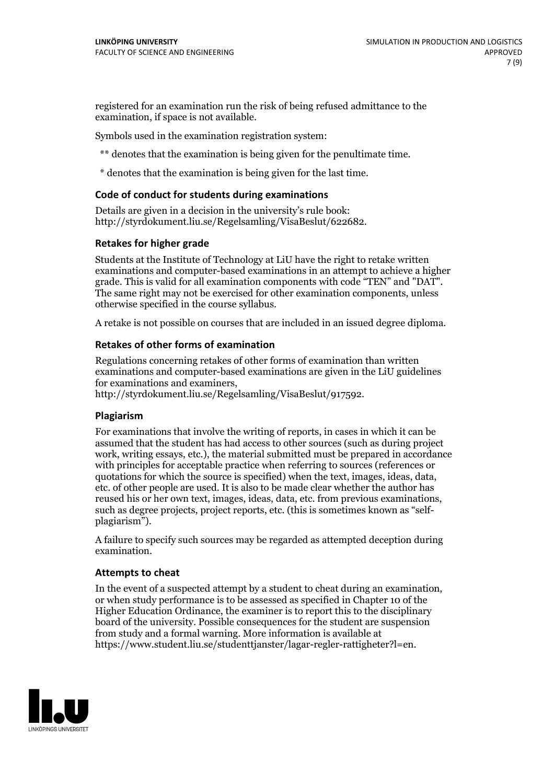registered for an examination run the risk of being refused admittance to the examination, if space is not available.

Symbols used in the examination registration system:

\*\* denotes that the examination is being given for the penultimate time.

\* denotes that the examination is being given for the last time.

#### **Code of conduct for students during examinations**

Details are given in a decision in the university's rule book: http://styrdokument.liu.se/Regelsamling/VisaBeslut/622682.

#### **Retakes for higher grade**

Students at the Institute of Technology at LiU have the right to retake written examinations and computer-based examinations in an attempt to achieve a higher grade. This is valid for all examination components with code "TEN" and "DAT". The same right may not be exercised for other examination components, unless otherwise specified in the course syllabus.

A retake is not possible on courses that are included in an issued degree diploma.

#### **Retakes of other forms of examination**

Regulations concerning retakes of other forms of examination than written examinations and computer-based examinations are given in the LiU guidelines

http://styrdokument.liu.se/Regelsamling/VisaBeslut/917592.

#### **Plagiarism**

For examinations that involve the writing of reports, in cases in which it can be assumed that the student has had access to other sources (such as during project work, writing essays, etc.), the material submitted must be prepared in accordance with principles for acceptable practice when referring to sources (references or quotations for which the source is specified) when the text, images, ideas, data,  $\vec{e}$  etc. of other people are used. It is also to be made clear whether the author has reused his or her own text, images, ideas, data, etc. from previous examinations, such as degree projects, project reports, etc. (this is sometimes known as "self- plagiarism").

A failure to specify such sources may be regarded as attempted deception during examination.

#### **Attempts to cheat**

In the event of <sup>a</sup> suspected attempt by <sup>a</sup> student to cheat during an examination, or when study performance is to be assessed as specified in Chapter <sup>10</sup> of the Higher Education Ordinance, the examiner is to report this to the disciplinary board of the university. Possible consequences for the student are suspension from study and a formal warning. More information is available at https://www.student.liu.se/studenttjanster/lagar-regler-rattigheter?l=en.

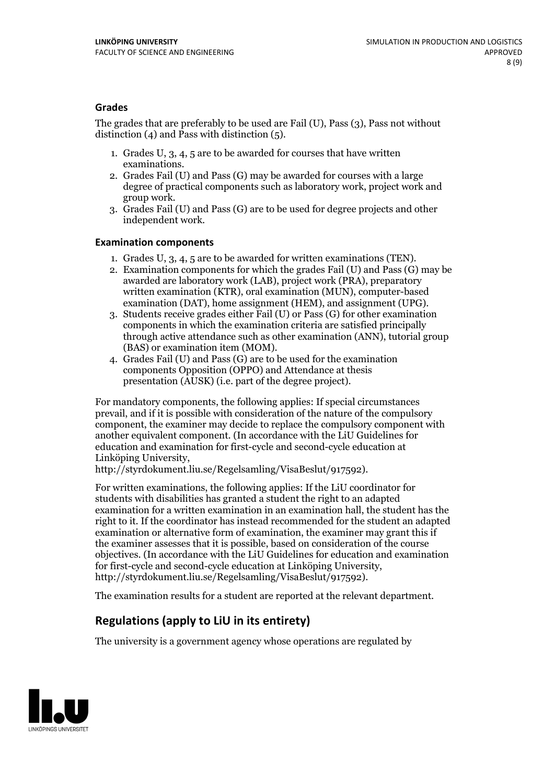### **Grades**

The grades that are preferably to be used are Fail (U), Pass (3), Pass not without distinction  $(4)$  and Pass with distinction  $(5)$ .

- 1. Grades U, 3, 4, 5 are to be awarded for courses that have written
- examinations. 2. Grades Fail (U) and Pass (G) may be awarded for courses with <sup>a</sup> large degree of practical components such as laboratory work, project work and group work. 3. Grades Fail (U) and Pass (G) are to be used for degree projects and other
- independent work.

#### **Examination components**

- 
- 1. Grades U, 3, 4, <sup>5</sup> are to be awarded for written examinations (TEN). 2. Examination components for which the grades Fail (U) and Pass (G) may be awarded are laboratory work (LAB), project work (PRA), preparatory written examination (KTR), oral examination (MUN), computer-based
- examination (DAT), home assignment (HEM), and assignment (UPG). 3. Students receive grades either Fail (U) or Pass (G) for other examination components in which the examination criteria are satisfied principally through active attendance such as other examination (ANN), tutorial group (BAS) or examination item (MOM). 4. Grades Fail (U) and Pass (G) are to be used for the examination
- components Opposition (OPPO) and Attendance at thesis presentation (AUSK) (i.e. part of the degree project).

For mandatory components, the following applies: If special circumstances prevail, and if it is possible with consideration of the nature of the compulsory component, the examiner may decide to replace the compulsory component with another equivalent component. (In accordance with the LiU Guidelines for education and examination for first-cycle and second-cycle education at Linköping University, http://styrdokument.liu.se/Regelsamling/VisaBeslut/917592).

For written examinations, the following applies: If the LiU coordinator for students with disabilities has granted a student the right to an adapted examination for a written examination in an examination hall, the student has the right to it. If the coordinator has instead recommended for the student an adapted examination or alternative form of examination, the examiner may grant this if the examiner assesses that it is possible, based on consideration of the course objectives. (In accordance with the LiU Guidelines for education and examination for first-cycle and second-cycle education at Linköping University, http://styrdokument.liu.se/Regelsamling/VisaBeslut/917592).

The examination results for a student are reported at the relevant department.

### **Regulations (applyto LiU in its entirety)**

The university is a government agency whose operations are regulated by